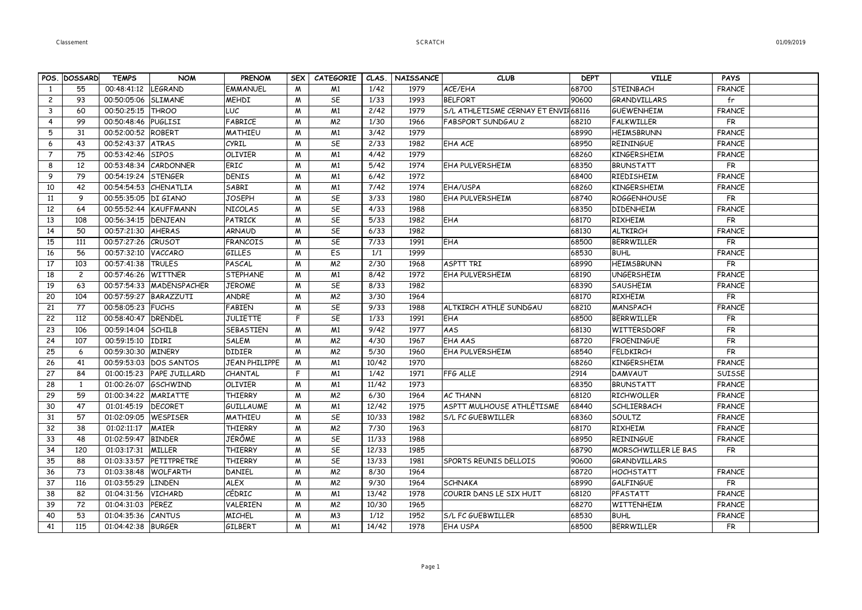| 01/09/2019 |
|------------|
|------------|

|                |                    |                                   |                            |                           |                  |                                  |               |                          | <b>CLUB</b>                         | <b>DEPT</b>    | <b>VILLE</b>        | <b>PAYS</b>    |  |
|----------------|--------------------|-----------------------------------|----------------------------|---------------------------|------------------|----------------------------------|---------------|--------------------------|-------------------------------------|----------------|---------------------|----------------|--|
|                | POS. DOSSARD<br>55 | <b>TEMPS</b><br>00:48:41:12       | <b>NOM</b><br>LEGRAND      | <b>PRENOM</b>             | <b>SEX</b>       | <b>CATEGORIE</b>                 | CLAS.<br>1/42 | <b>NAISSANCE</b><br>1979 | ACE/EHA                             |                | <b>STEINBACH</b>    |                |  |
| -1             | 93                 |                                   |                            | <b>EMMANUEL</b>           | M                | M <sub>1</sub><br>SE             |               |                          |                                     | 68700          |                     | <b>FRANCE</b>  |  |
| $\mathbf{2}$   |                    | 00:50:05:06                       | <b>SLIMANE</b>             | <b>MEHDI</b>              | M                |                                  | 1/33<br>2/42  | 1993                     | <b>BELFORT</b>                      | 90600          | GRANDVILLARS        | fr             |  |
| $\mathbf{3}$   | 60                 | 00:50:25:15                       | <b>THROO</b>               | LUC                       | M                | M <sub>1</sub>                   |               | 1979                     | S/L ATHLETISME CERNAY ET ENVIF68116 |                | <b>GUEWENHEIM</b>   | <b>FRANCE</b>  |  |
| 4<br>5         | 99<br>31           | 00:50:48:46<br>00:52:00:52 ROBERT | PUGLISI                    | FABRICE<br><b>MATHIEU</b> | M                | M <sup>2</sup><br>M <sub>1</sub> | 1/30<br>3/42  | 1966<br>1979             | <b>FABSPORT SUNDGAU 2</b>           | 68210<br>68990 | FALKWILLER          | <b>FR</b>      |  |
|                |                    |                                   |                            |                           | M                |                                  |               |                          |                                     |                | <b>HEIMSBRUNN</b>   | <b>FRANCE</b>  |  |
| 6              | 43                 | 00:52:43:37                       | <b>ATRAS</b>               | CYRIL                     | W                | SE                               | 2/33          | 1982                     | EHA ACE                             | 68950          | <b>REININGUE</b>    | <b>FRANCE</b>  |  |
| $\overline{7}$ | 75                 | 00:53:42:46                       | <b>SIPOS</b>               | <b>OLIVIER</b>            | M                | M <sub>1</sub>                   | 4/42          | 1979                     |                                     | 68260          | <b>KINGERSHEIM</b>  | <b>FRANCE</b>  |  |
| 8              | 12<br>79           | 00:53:48:34 CARDONNER             |                            | ERIC<br><b>DENIS</b>      | M                | M <sub>1</sub>                   | 5/42<br>6/42  | 1974<br>1972             | <b>EHA PULVERSHEIM</b>              | 68350          | <b>BRUNSTATT</b>    | <b>FR</b>      |  |
| 9              |                    | 00:54:19:24 STENGER               |                            |                           | M                | M <sub>1</sub>                   |               |                          |                                     | 68400          | RIEDISHEIM          | <b>FRANCE</b>  |  |
| 10             | 42                 | 00:54:54:53                       | CHENATLIA                  | SABRI                     | M                | M1                               | 7/42          | 1974                     | EHA/USPA                            | 68260          | <b>KINGERSHEIM</b>  | <b>FRANCE</b>  |  |
| 11             | 9                  | 00:55:35:05   DI GIANO            |                            | <b>JOSEPH</b>             | M                | SE                               | 3/33          | 1980                     | <b>EHA PULVERSHEIM</b>              | 68740          | <b>ROGGENHOUSE</b>  | FR             |  |
| 12             | 64                 | 00:55:52:44                       | KAUFFMANN                  | NICOLAS                   | M                | SE                               | 4/33          | 1988                     |                                     | 68350          | <b>DIDENHEIM</b>    | <b>FRANCE</b>  |  |
| 13             | 108                | 00:56:34:15                       | DENJEAN                    | PATRICK                   | M                | SE                               | 5/33          | 1982                     | EHA                                 | 68170          | <b>RIXHEIM</b>      | <b>FR</b>      |  |
| 14             | 50                 | 00:57:21:30                       | <b>AHERAS</b>              | <b>ARNAUD</b>             | M                | SE                               | 6/33          | 1982                     |                                     | 68130          | <b>ALTKIRCH</b>     | <b>FRANCE</b>  |  |
| 15             | 111                | 00:57:27:26                       | CRUSOT                     | <b>FRANCOIS</b>           | M                | SE                               | 7/33          | 1991                     | EHA                                 | 68500          | <b>BERRWILLER</b>   | <b>FR</b>      |  |
| 16             | 56                 | 00:57:32:10                       | VACCARO                    | <b>GILLES</b>             | M                | Es                               | 1/1           | 1999                     |                                     | 68530          | <b>BUHL</b>         | <b>FRANCE</b>  |  |
| 17             | 103                | 00:57:41:38                       | <b>TRULES</b>              | PASCAL                    | M                | M <sup>2</sup>                   | 2/30          | 1968                     | ASPTT TRI                           | 68990          | <b>HEIMSBRUNN</b>   | <b>FR</b>      |  |
| 18             | $\overline{c}$     | 00:57:46:26                       | <b>WITTNER</b>             | <b>STEPHANE</b>           | M                | M <sub>1</sub>                   | 8/42          | 1972                     | <b>EHA PULVERSHEIM</b>              | 68190          | <b>UNGERSHEIM</b>   | <b>FRANCE</b>  |  |
| 19             | 63                 |                                   | 00:57:54:33   MADENSPACHER | <b>JEROME</b>             | M                | <b>SE</b>                        | 8/33          | 1982                     |                                     | 68390          | <b>SAUSHEIM</b>     | <b>FRANCE</b>  |  |
| 20             | 104                | 00:57:59:27   BARAZZUTI           |                            | ANDRE                     | $\boldsymbol{M}$ | M <sup>2</sup>                   | 3/30          | 1964                     |                                     | 68170          | <b>RIXHEIM</b>      | $\overline{R}$ |  |
| 21             | 77                 | 00:58:05:23 FUCHS                 |                            | <b>FABIEN</b>             | M                | SE                               | 9/33          | 1988                     | ALTKIRCH ATHLE SUNDGAU              | 68210          | <b>MANSPACH</b>     | <b>FRANCE</b>  |  |
| 22             | 112                | 00:58:40:47                       | DRENDEL                    | <b>JULIETTE</b>           | F                | SE                               | 1/33          | 1991                     | EHA                                 | 68500          | BERRWILLER          | <b>FR</b>      |  |
| 23             | 106                | 00:59:14:04                       | <b>SCHILB</b>              | <b>SEBASTIEN</b>          | M                | M <sub>1</sub>                   | 9/42          | 1977                     | AAS                                 | 68130          | WITTERSDORF         | <b>FR</b>      |  |
| 24             | 107                | 00:59:15:10                       | IDIRI                      | <b>SALEM</b>              | M                | M <sup>2</sup>                   | 4/30          | 1967                     | EHA AAS                             | 68720          | <b>FROENINGUE</b>   | <b>FR</b>      |  |
| 25             | 6                  | 00:59:30:30                       | <b>MINERY</b>              | <b>DIDIER</b>             | M                | M <sup>2</sup>                   | 5/30          | 1960                     | <b>EHA PULVERSHEIM</b>              | 68540          | <b>FELDKIRCH</b>    | <b>FR</b>      |  |
| 26             | 41                 | 00:59:53:03                       | <b>DOS SANTOS</b>          | <b>JEAN PHILIPPE</b>      | M                | M <sub>1</sub>                   | 10/42         | 1970                     |                                     | 68260          | <b>KINGERSHEIM</b>  | <b>FRANCE</b>  |  |
| 27             | 84                 | 01:00:15:23                       | <b>PAPE JUILLARD</b>       | CHANTAL                   | F                | M <sub>1</sub>                   | 1/42          | 1971                     | FFG ALLE                            | 2914           | DAMVAUT             | SUISSE         |  |
| 28             | 1                  | 01:00:26:07                       | <b>GSCHWIND</b>            | <b>OLIVIER</b>            | M                | M <sub>1</sub>                   | 11/42         | 1973                     |                                     | 68350          | <b>BRUNSTATT</b>    | <b>FRANCE</b>  |  |
| 29             | 59                 | 01:00:34:22                       | <b>MARIATTE</b>            | <b>THIERRY</b>            | M                | M <sup>2</sup>                   | 6/30          | 1964                     | <b>AC THANN</b>                     | 68120          | <b>RICHWOLLER</b>   | <b>FRANCE</b>  |  |
| 30             | 47                 | 01:01:45:19                       | <b>DECORET</b>             | <b>GUILLAUME</b>          | M                | M <sub>1</sub>                   | 12/42         | 1975                     | ASPTT MULHOUSE ATHLÉTISME           | 68440          | SCHLIERBACH         | <b>FRANCE</b>  |  |
| 31             | 57                 | 01:02:09:05                       | WESPISER                   | MATHIEU                   | M                | SE                               | 10/33         | 1982                     | S/L FC GUEBWILLER                   | 68360          | SOULTZ              | <b>FRANCE</b>  |  |
| 32             | 38                 | 01:02:11:17                       | <b>MAIER</b>               | <b>THIERRY</b>            | M                | M <sup>2</sup>                   | 7/30          | 1963                     |                                     | 68170          | <b>RIXHEIM</b>      | <b>FRANCE</b>  |  |
| 33             | 48                 | 01:02:59:47                       | <b>BINDER</b>              | <b>JÉRÔME</b>             | M                | SE                               | 11/33         | 1988                     |                                     | 68950          | REININGUE           | <b>FRANCE</b>  |  |
| 34             | 120                | 01:03:17:31                       | MILLER                     | <b>THIERRY</b>            | M                | SE                               | 12/33         | 1985                     |                                     | 68790          | MORSCHWILLER LE BAS | <b>FR</b>      |  |
| 35             | 88                 | 01:03:33:57                       | PETITPRETRE                | <b>THIERRY</b>            | M                | SE                               | 13/33         | 1981                     | SPORTS REUNIS DELLOIS               | 90600          | GRANDVILLARS        |                |  |
| 36             | 73                 | 01:03:38:48                       | <b>WOLFARTH</b>            | DANIEL                    | M                | M <sup>2</sup>                   | 8/30          | 1964                     |                                     | 68720          | <b>HOCHSTATT</b>    | <b>FRANCE</b>  |  |
| 37             | 116                | 01:03:55:29                       | <b>LINDEN</b>              | <b>ALEX</b>               | $\boldsymbol{M}$ | M <sup>2</sup>                   | 9/30          | 1964                     | <b>SCHNAKA</b>                      | 68990          | GALFINGUE           | FR             |  |
| 38             | 82                 | 01:04:31:56                       | <b>VICHARD</b>             | CÉDRIC                    | $\boldsymbol{M}$ | M <sub>1</sub>                   | 13/42         | 1978                     | COURIR DANS LE SIX HUIT             | 68120          | PFASTATT            | <b>FRANCE</b>  |  |
| 39             | 72                 | 01:04:31:03                       | PEREZ                      | VALERIEN                  | M                | M <sup>2</sup>                   | 10/30         | 1965                     |                                     | 68270          | WITTENHEIM          | <b>FRANCE</b>  |  |
| 40             | 53                 | 01:04:35:36                       | <b>CANTUS</b>              | <b>MICHEL</b>             | M                | M <sub>3</sub>                   | 1/12          | 1952                     | S/L FC GUEBWILLER                   | 68530          | <b>BUHL</b>         | <b>FRANCE</b>  |  |
| 41             | 115                | 01:04:42:38 BURGER                |                            | <b>GILBERT</b>            | $\mathsf{M}$     | M <sub>1</sub>                   | 14/42         | 1978                     | <b>EHA USPA</b>                     | 68500          | BERRWILLER          | <b>FR</b>      |  |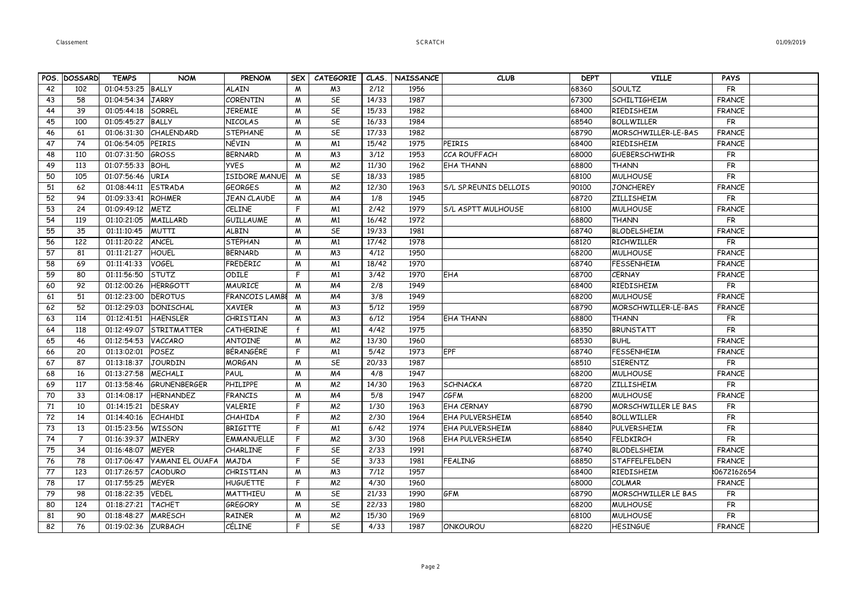|    | POS. DOSSARD   | <b>TEMPS</b> | <b>NOM</b>             | <b>PRENOM</b>        | <b>SEX</b>   | <b>CATEGORIE</b> |       | CLAS.   NAISSANCE | <b>CLUB</b>                  | <b>DEPT</b> | <b>VILLE</b>               | <b>PAYS</b>   |  |
|----|----------------|--------------|------------------------|----------------------|--------------|------------------|-------|-------------------|------------------------------|-------------|----------------------------|---------------|--|
| 42 | 102            | 01:04:53:25  | BALLY                  | <b>ALAIN</b>         | M            | M <sub>3</sub>   | 2/12  | 1956              |                              | 68360       | SOULTZ                     | <b>FR</b>     |  |
| 43 | 58             | 01:04:54:34  | <b>JARRY</b>           | <b>CORENTIN</b>      | M            | SE               | 14/33 | 1987              |                              | 67300       | <b>SCHILTIGHEIM</b>        | <b>FRANCE</b> |  |
| 44 | 39             | 01:05:44:18  | SORREL                 | <b>JEREMIE</b>       | M            | SE               | 15/33 | 1982              |                              | 68400       | RIEDISHEIM                 | <b>FRANCE</b> |  |
| 45 | 100            | 01:05:45:27  | <b>BALLY</b>           | NICOLAS              | M            | SE               | 16/33 | 1984              |                              | 68540       | <b>BOLLWILLER</b>          | <b>FR</b>     |  |
| 46 | 61             | 01:06:31:30  | CHALENDARD             | <b>STEPHANE</b>      | M            | SE               | 17/33 | 1982              |                              | 68790       | MORSCHWILLER-LE-BAS        | <b>FRANCE</b> |  |
| 47 | 74             | 01:06:54:05  | PEIRIS                 | NÉVIN                | M            | M <sub>1</sub>   | 15/42 | 1975              | PEIRIS                       | 68400       | RIEDISHEIM                 | <b>FRANCE</b> |  |
| 48 | 110            | 01:07:31:50  | GROSS                  | <b>BERNARD</b>       | M            | M <sub>3</sub>   | 3/12  | 1953              | <b>CCA ROUFFACH</b>          | 68000       | <b>GUEBERSCHWIHR</b>       | FR            |  |
| 49 | 113            | 01:07:55:33  | <b>BOHL</b>            | <b>YVES</b>          | M            | M <sup>2</sup>   | 11/30 | 1962              | <b>EHA THANN</b>             | 68800       | <b>THANN</b>               | <b>FR</b>     |  |
| 50 | 105            | 01:07:56:46  | <b>URIA</b>            | <b>ISIDORE MANUE</b> | M            | SE               | 18/33 | 1985              |                              | 68100       | <b>MULHOUSE</b>            | <b>FR</b>     |  |
| 51 | 62             | 01:08:44:11  | <b>ESTRADA</b>         | <b>GEORGES</b>       | M            | M <sup>2</sup>   | 12/30 | 1963              | <b>S/L SP.REUNIS DELLOIS</b> | 90100       | <b>JONCHEREY</b>           | <b>FRANCE</b> |  |
| 52 | 94             | 01:09:33:41  | ROHMER                 | JEAN CLAUDE          | M            | M4               | 1/8   | 1945              |                              | 68720       | <b>ZILLISHEIM</b>          | <b>FR</b>     |  |
| 53 | 24             | 01:09:49:12  | <b>METZ</b>            | CELINE               | F            | M <sub>1</sub>   | 2/42  | 1979              | <b>S/L ASPTT MULHOUSE</b>    | 68100       | <b>MULHOUSE</b>            | <b>FRANCE</b> |  |
| 54 | 119            | 01:10:21:05  | MAILLARD               | <b>GUILLAUME</b>     | W            | M <sub>1</sub>   | 16/42 | 1972              |                              | 68800       | <b>THANN</b>               | <b>FR</b>     |  |
| 55 | 35             | 01:11:10:45  | <b>MUTTI</b>           | <b>ALBIN</b>         | M            | SE               | 19/33 | 1981              |                              | 68740       | <b>BLODELSHEIM</b>         | <b>FRANCE</b> |  |
| 56 | 122            | 01:11:20:22  | ANCEL                  | <b>STEPHAN</b>       | M            | M <sub>1</sub>   | 17/42 | 1978              |                              | 68120       | <b>RICHWILLER</b>          | <b>FR</b>     |  |
| 57 | 81             | 01:11:21:27  | HOUEL                  | <b>BERNARD</b>       | M            | M <sub>3</sub>   | 4/12  | 1950              |                              | 68200       | <b>MULHOUSE</b>            | <b>FRANCE</b> |  |
| 58 | 69             | 01:11:41:33  | VOGEL                  | FREDERIC             | M            | M <sub>1</sub>   | 18/42 | 1970              |                              | 68740       | <b>FESSENHEIM</b>          | <b>FRANCE</b> |  |
| 59 | 80             | 01:11:56:50  | STUTZ                  | ODILE                | F            | M <sub>1</sub>   | 3/42  | 1970              | EHA                          | 68700       | <b>CERNAY</b>              | <b>FRANCE</b> |  |
| 60 | 92             | 01:12:00:26  | <b>HERRGOTT</b>        | <b>MAURICE</b>       | M            | M4               | 2/8   | 1949              |                              | 68400       | RIEDISHEIM                 | <b>FR</b>     |  |
| 61 | 51             | 01:12:23:00  | <b>DEROTUS</b>         | FRANCOIS LAMBE       | M            | M <sub>4</sub>   | 3/8   | 1949              |                              | 68200       | <b>MULHOUSE</b>            | <b>FRANCE</b> |  |
| 62 | 52             | 01:12:29:03  | DONISCHAL              | <b>XAVIER</b>        | W            | M <sub>3</sub>   | 5/12  | 1959              |                              | 68790       | MORSCHWILLER-LE-BAS        | <b>FRANCE</b> |  |
| 63 | 114            | 01:12:41:51  | <b>HAENSLER</b>        | CHRISTIAN            | M            | M <sub>3</sub>   | 6/12  | 1954              | <b>EHA THANN</b>             | 68800       | <b>THANN</b>               | <b>FR</b>     |  |
| 64 | 118            | 01:12:49:07  | STRITMATTER            | CATHERINE            | $\mathsf{f}$ | M <sub>1</sub>   | 4/42  | 1975              |                              | 68350       | <b>BRUNSTATT</b>           | <b>FR</b>     |  |
| 65 | 46             | 01:12:54:53  | VACCARO                | <b>ANTOINE</b>       | M            | M <sub>2</sub>   | 13/30 | 1960              |                              | 68530       | <b>BUHL</b>                | <b>FRANCE</b> |  |
| 66 | 20             | 01:13:02:01  | POSEZ                  | BÉRANGÉRE            | F            | M <sub>1</sub>   | 5/42  | 1973              | EPF                          | 68740       | <b>FESSENHEIM</b>          | <b>FRANCE</b> |  |
| 67 | 87             | 01:13:18:37  | <b>JOURDIN</b>         | <b>MORGAN</b>        | M            | SE               | 20/33 | 1987              |                              | 68510       | <b>SIERENTZ</b>            | <b>FR</b>     |  |
| 68 | 16             | 01:13:27:58  | <b>MECHALI</b>         | PAUL                 | M            | M4               | 4/8   | 1947              |                              | 68200       | <b>MULHOUSE</b>            | <b>FRANCE</b> |  |
| 69 | 117            | 01:13:58:46  | GRUNENBERGER           | <b>PHILIPPE</b>      | M            | M <sup>2</sup>   | 14/30 | 1963              | <b>SCHNACKA</b>              | 68720       | <b>ZILLISHEIM</b>          | <b>FR</b>     |  |
| 70 | 33             | 01:14:08:17  | HERNANDEZ              | <b>FRANCIS</b>       | M            | M <sub>4</sub>   | 5/8   | 1947              | <b>CGFM</b>                  | 68200       | <b>MULHOUSE</b>            | <b>FRANCE</b> |  |
| 71 | 10             | 01:14:15:21  | DESRAY                 | VALERIE              | F            | M <sup>2</sup>   | 1/30  | 1963              | <b>EHA CERNAY</b>            | 68790       | <b>MORSCHWILLER LE BAS</b> | <b>FR</b>     |  |
| 72 | 14             | 01:14:40:16  | <b>ECHAHDI</b>         | CHAHIDA              | F            | M <sup>2</sup>   | 2/30  | 1964              | <b>EHA PULVERSHEIM</b>       | 68540       | <b>BOLLWILLER</b>          | <b>FR</b>     |  |
| 73 | 13             | 01:15:23:56  | WISSON                 | <b>BRIGITTE</b>      | F            | M <sub>1</sub>   | 6/42  | 1974              | <b>EHA PULVERSHEIM</b>       | 68840       | PULVERSHEIM                | <b>FR</b>     |  |
| 74 | $\overline{7}$ | 01:16:39:37  | <b>MINERY</b>          | <b>EMMANUELLE</b>    | F            | M <sup>2</sup>   | 3/30  | 1968              | EHA PULVERSHEIM              | 68540       | <b>FELDKIRCH</b>           | <b>FR</b>     |  |
| 75 | 34             | 01:16:48:07  | <b>MEYER</b>           | <b>CHARLINE</b>      | F            | SE               | 2/33  | 1991              |                              | 68740       | <b>BLODELSHEIM</b>         | <b>FRANCE</b> |  |
| 76 | 78             | 01:17:06:47  | <b>YAMANI EL OUAFA</b> | MAJDA                | F            | SE               | 3/33  | 1981              | <b>FEALING</b>               | 68850       | <b>STAFFELFELDEN</b>       | <b>FRANCE</b> |  |
| 77 | 123            | 01:17:26:57  | <b>CAODURO</b>         | CHRISTIAN            | W            | M <sub>3</sub>   | 7/12  | 1957              |                              | 68400       | RIEDISHEIM                 | 20672162654   |  |
| 78 | 17             | 01:17:55:25  | <b>MEYER</b>           | <b>HUGUETTE</b>      | F            | M <sup>2</sup>   | 4/30  | 1960              |                              | 68000       | <b>COLMAR</b>              | <b>FRANCE</b> |  |
| 79 | 98             | 01:18:22:35  | <b>VEDEL</b>           | MATTHIEU             | M            | SE               | 21/33 | 1990              | <b>GFM</b>                   | 68790       | MORSCHWILLER LE BAS        | <b>FR</b>     |  |
| 80 | 124            | 01:18:27:21  | <b>TACHET</b>          | <b>GREGORY</b>       | M            | SE               | 22/33 | 1980              |                              | 68200       | <b>MULHOUSE</b>            | <b>FR</b>     |  |
| 81 | 90             | 01:18:48:27  | MARESCH                | RAINER               | W            | M <sup>2</sup>   | 15/30 | 1969              |                              | 68100       | <b>MULHOUSE</b>            | <b>FR</b>     |  |
| 82 | 76             | 01:19:02:36  | <b>ZURBACH</b>         | CÉLINE               | F.           | SE               | 4/33  | 1987              | ONKOUROU                     | 68220       | <b>HESINGUE</b>            | <b>FRANCE</b> |  |

Page 2